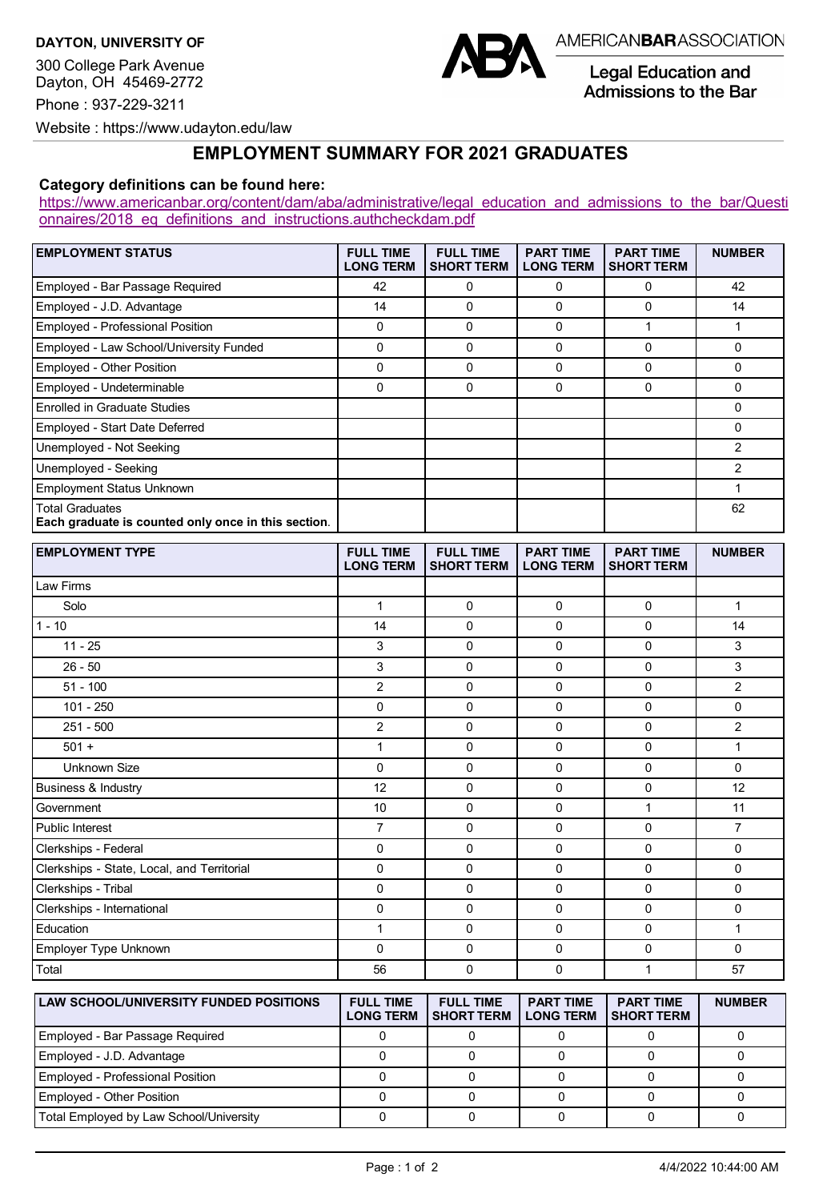**DAYTON, UNIVERSITY OF**

300 College Park Avenue Dayton, OH 45469-2772 Phone : 937-229-3211



## **EMPLOYMENT SUMMARY FOR 2021 GRADUATES**

## **Category definitions can be found here:**

[https://www.americanbar.org/content/dam/aba/administrative/legal\\_education\\_and\\_admissions\\_to\\_the\\_bar/Questi](https://www.americanbar.org/content/dam/aba/administrative/legal_education_and_admissions_to_the_bar/Questionnaires/2018_eq_definitions_and_instructions.authcheckdam.pdf) onnaires/2018 eq definitions and instructions.authcheckdam.pdf

| <b>EMPLOYMENT STATUS</b>                                               | <b>FULL TIME</b><br><b>LONG TERM</b> | <b>FULL TIME</b><br><b>SHORT TERM</b> | <b>PART TIME</b><br><b>LONG TERM</b> | <b>PART TIME</b><br><b>SHORT TERM</b> | <b>NUMBER</b>   |
|------------------------------------------------------------------------|--------------------------------------|---------------------------------------|--------------------------------------|---------------------------------------|-----------------|
| Employed - Bar Passage Required                                        | 42                                   | 0                                     | 0                                    | 0                                     | 42              |
| Employed - J.D. Advantage                                              | 14                                   | 0                                     | $\Omega$                             | 0                                     | 14              |
| <b>Employed - Professional Position</b>                                | 0                                    | 0                                     | $\Omega$                             |                                       |                 |
| Employed - Law School/University Funded                                | 0                                    | 0                                     | 0                                    | 0                                     | 0               |
| <b>Employed - Other Position</b>                                       | 0                                    | $\Omega$                              | $\Omega$                             | 0                                     | 0               |
| Employed - Undeterminable                                              | 0                                    | $\Omega$                              | 0                                    | 0                                     | 0               |
| <b>Enrolled in Graduate Studies</b>                                    |                                      |                                       |                                      |                                       | 0               |
| Employed - Start Date Deferred                                         |                                      |                                       |                                      |                                       | 0               |
| Unemployed - Not Seeking                                               |                                      |                                       |                                      |                                       | 2               |
| Unemployed - Seeking                                                   |                                      |                                       |                                      |                                       | 2               |
| <b>Employment Status Unknown</b>                                       |                                      |                                       |                                      |                                       |                 |
| Total Graduates<br>Each graduate is counted only once in this section. |                                      |                                       |                                      |                                       | 62              |
| <b>CMDI OVMENT TVDE</b>                                                | CIII I TIME                          | CHILI TIME                            | DADT TIME                            | <b>DADT TIME</b>                      | <b>NILIMDED</b> |

| <b>EMPLOYMENT TYPE</b>                        | <b>FULL TIME</b><br><b>LONG TERM</b> | <b>FULL TIME</b><br><b>SHORT TERM</b> | <b>PART TIME</b><br><b>LONG TERM</b> | <b>PART TIME</b><br><b>SHORT TERM</b> | <b>NUMBER</b>  |
|-----------------------------------------------|--------------------------------------|---------------------------------------|--------------------------------------|---------------------------------------|----------------|
| Law Firms                                     |                                      |                                       |                                      |                                       |                |
| Solo                                          | $\mathbf{1}$                         | $\mathbf 0$                           | $\mathbf 0$                          | 0                                     | $\mathbf{1}$   |
| $1 - 10$                                      | 14                                   | $\mathbf 0$                           | 0                                    | 0                                     | 14             |
| $11 - 25$                                     | 3                                    | $\Omega$                              | 0                                    | 0                                     | 3              |
| $26 - 50$                                     | 3                                    | $\mathbf 0$                           | $\mathbf 0$                          | 0                                     | 3              |
| $51 - 100$                                    | $\overline{2}$                       | $\mathbf 0$                           | 0                                    | 0                                     | 2              |
| $101 - 250$                                   | 0                                    | 0                                     | 0                                    | 0                                     | $\mathbf 0$    |
| $251 - 500$                                   | 2                                    | $\mathbf 0$                           | 0                                    | $\Omega$                              | $\overline{2}$ |
| $501 +$                                       | $\mathbf{1}$                         | $\mathbf 0$                           | $\mathbf 0$                          | 0                                     | $\mathbf{1}$   |
| <b>Unknown Size</b>                           | $\Omega$                             | $\Omega$                              | 0                                    | $\Omega$                              | $\Omega$       |
| <b>Business &amp; Industry</b>                | 12                                   | $\Omega$                              | 0                                    | 0                                     | 12             |
| Government                                    | 10                                   | $\mathbf 0$                           | $\mathbf 0$                          | $\mathbf{1}$                          | 11             |
| <b>Public Interest</b>                        | $\overline{7}$                       | $\mathbf 0$                           | 0                                    | 0                                     | $\overline{7}$ |
| Clerkships - Federal                          | 0                                    | 0                                     | 0                                    | 0                                     | $\mathbf 0$    |
| Clerkships - State, Local, and Territorial    | 0                                    | $\mathbf 0$                           | 0                                    | 0                                     | 0              |
| Clerkships - Tribal                           | 0                                    | $\mathbf 0$                           | $\mathbf 0$                          | 0                                     | $\mathbf 0$    |
| Clerkships - International                    | $\mathbf 0$                          | $\mathbf 0$                           | 0                                    | 0                                     | $\mathbf 0$    |
| Education                                     | $\mathbf{1}$                         | $\mathbf 0$                           | 0                                    | 0                                     | $\mathbf{1}$   |
| Employer Type Unknown                         | 0                                    | 0                                     | $\mathbf 0$                          | 0                                     | $\mathbf 0$    |
| Total                                         | 56                                   | $\Omega$                              | 0                                    | $\mathbf{1}$                          | 57             |
| <b>LAW SCHOOL/UNIVERSITY FUNDED POSITIONS</b> | <b>FULL TIME</b><br><b>LONG TERM</b> | <b>FULL TIME</b><br><b>SHORT TERM</b> | <b>PART TIME</b><br><b>LONG TERM</b> | <b>PART TIME</b><br><b>SHORT TERM</b> | <b>NUMBER</b>  |
| Employed - Bar Passage Required               | 0                                    | 0                                     | 0                                    | 0                                     | $\mathbf 0$    |
| Employed - J.D. Advantage                     | $\mathbf 0$                          | 0                                     | $\mathbf 0$                          | 0                                     | $\mathbf 0$    |
| <b>Employed - Professional Position</b>       | $\Omega$                             | 0                                     | $\mathbf{0}$                         | 0                                     | 0              |

Employed - Other Position 0 0 0 0 0 Total Employed by Law School/University 0 0 0 0 0

**Legal Education and** Admissions to the Bar